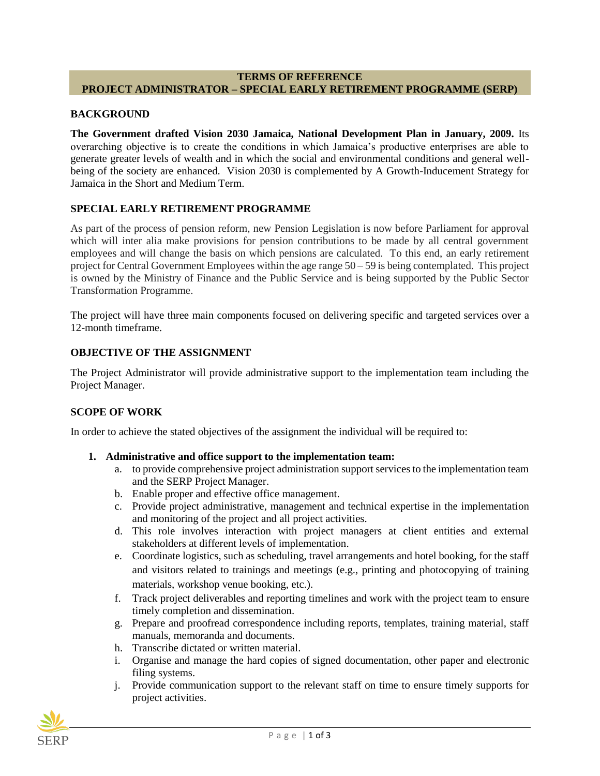### **TERMS OF REFERENCE PROJECT ADMINISTRATOR – SPECIAL EARLY RETIREMENT PROGRAMME (SERP)**

#### **BACKGROUND**

**The Government drafted Vision 2030 Jamaica, National Development Plan in January, 2009.** Its overarching objective is to create the conditions in which Jamaica's productive enterprises are able to generate greater levels of wealth and in which the social and environmental conditions and general wellbeing of the society are enhanced. Vision 2030 is complemented by A Growth-Inducement Strategy for Jamaica in the Short and Medium Term.

#### **SPECIAL EARLY RETIREMENT PROGRAMME**

As part of the process of pension reform, new Pension Legislation is now before Parliament for approval which will inter alia make provisions for pension contributions to be made by all central government employees and will change the basis on which pensions are calculated. To this end, an early retirement project for Central Government Employees within the age range 50 – 59 is being contemplated. This project is owned by the Ministry of Finance and the Public Service and is being supported by the Public Sector Transformation Programme.

The project will have three main components focused on delivering specific and targeted services over a 12-month timeframe.

#### **OBJECTIVE OF THE ASSIGNMENT**

The Project Administrator will provide administrative support to the implementation team including the Project Manager.

### **SCOPE OF WORK**

In order to achieve the stated objectives of the assignment the individual will be required to:

- **1. Administrative and office support to the implementation team:**
	- a. to provide comprehensive project administration support services to the implementation team and the SERP Project Manager.
	- b. Enable proper and effective office management.
	- c. Provide project administrative, management and technical expertise in the implementation and monitoring of the project and all project activities.
	- d. This role involves interaction with project managers at client entities and external stakeholders at different levels of implementation.
	- e. Coordinate logistics, such as scheduling, travel arrangements and hotel booking, for the staff and visitors related to trainings and meetings (e.g., printing and photocopying of training materials, workshop venue booking, etc.).
	- f. Track project deliverables and reporting timelines and work with the project team to ensure timely completion and dissemination.
	- g. Prepare and proofread correspondence including reports, templates, training material, staff manuals, memoranda and documents.
	- h. Transcribe dictated or written material.
	- i. Organise and manage the hard copies of signed documentation, other paper and electronic filing systems.
	- j. Provide communication support to the relevant staff on time to ensure timely supports for project activities.

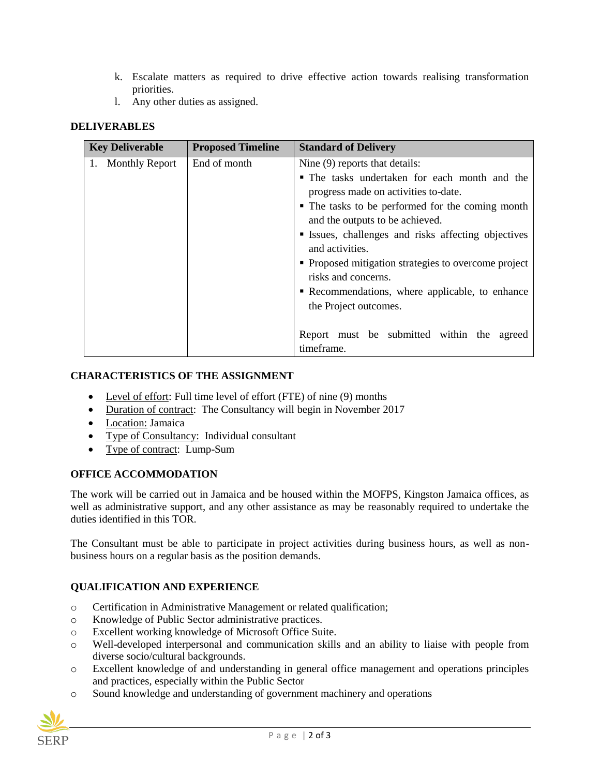- k. Escalate matters as required to drive effective action towards realising transformation priorities.
- l. Any other duties as assigned.

## **DELIVERABLES**

| <b>Key Deliverable</b> | <b>Proposed Timeline</b> | <b>Standard of Delivery</b>                                        |
|------------------------|--------------------------|--------------------------------------------------------------------|
| 1. Monthly Report      | End of month             | Nine (9) reports that details:                                     |
|                        |                          | • The tasks undertaken for each month and the                      |
|                        |                          | progress made on activities to-date.                               |
|                        |                          | • The tasks to be performed for the coming month                   |
|                        |                          | and the outputs to be achieved.                                    |
|                        |                          | <b>Example 1</b> Issues, challenges and risks affecting objectives |
|                        |                          | and activities.                                                    |
|                        |                          | • Proposed mitigation strategies to overcome project               |
|                        |                          | risks and concerns.                                                |
|                        |                          | • Recommendations, where applicable, to enhance                    |
|                        |                          | the Project outcomes.                                              |
|                        |                          |                                                                    |
|                        |                          | Report must be submitted within the<br>agreed                      |
|                        |                          | timeframe.                                                         |

### **CHARACTERISTICS OF THE ASSIGNMENT**

- Level of effort: Full time level of effort (FTE) of nine (9) months
- Duration of contract: The Consultancy will begin in November 2017
- Location: Jamaica
- Type of Consultancy: Individual consultant
- Type of contract: Lump-Sum

## **OFFICE ACCOMMODATION**

The work will be carried out in Jamaica and be housed within the MOFPS, Kingston Jamaica offices, as well as administrative support, and any other assistance as may be reasonably required to undertake the duties identified in this TOR.

The Consultant must be able to participate in project activities during business hours, as well as nonbusiness hours on a regular basis as the position demands.

## **QUALIFICATION AND EXPERIENCE**

- o Certification in Administrative Management or related qualification;
- o Knowledge of Public Sector administrative practices.
- o Excellent working knowledge of Microsoft Office Suite.
- o Well-developed interpersonal and communication skills and an ability to liaise with people from diverse socio/cultural backgrounds.
- o Excellent knowledge of and understanding in general office management and operations principles and practices, especially within the Public Sector
- o Sound knowledge and understanding of government machinery and operations